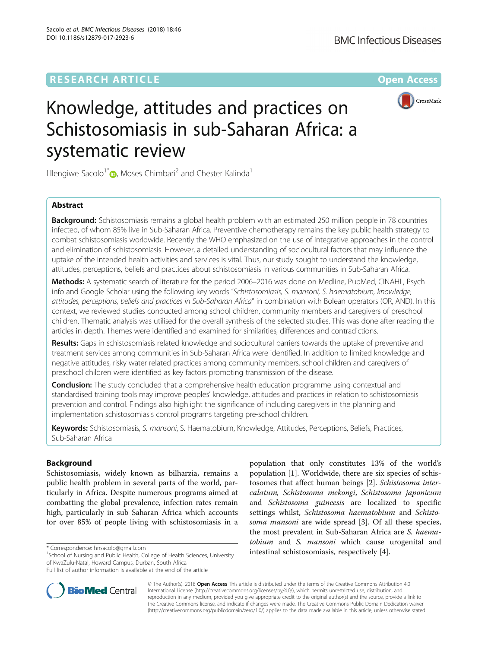

# Knowledge, attitudes and practices on Schistosomiasis in sub-Saharan Africa: a systematic review

Hlengiwe Sacolo<sup>1\*</sup><sup> $\bullet$ </sup>, Moses Chimbari<sup>2</sup> and Chester Kalinda<sup>1</sup>

# Abstract

**Background:** Schistosomiasis remains a global health problem with an estimated 250 million people in 78 countries infected, of whom 85% live in Sub-Saharan Africa. Preventive chemotherapy remains the key public health strategy to combat schistosomiasis worldwide. Recently the WHO emphasized on the use of integrative approaches in the control and elimination of schistosomiasis. However, a detailed understanding of sociocultural factors that may influence the uptake of the intended health activities and services is vital. Thus, our study sought to understand the knowledge, attitudes, perceptions, beliefs and practices about schistosomiasis in various communities in Sub-Saharan Africa.

Methods: A systematic search of literature for the period 2006–2016 was done on Medline, PubMed, CINAHL, Psych info and Google Scholar using the following key words "Schistosomiasis, S. mansoni, S. haematobium, knowledge, attitudes, perceptions, beliefs and practices in Sub-Saharan Africa" in combination with Bolean operators (OR, AND). In this context, we reviewed studies conducted among school children, community members and caregivers of preschool children. Thematic analysis was utilised for the overall synthesis of the selected studies. This was done after reading the articles in depth. Themes were identified and examined for similarities, differences and contradictions.

Results: Gaps in schistosomiasis related knowledge and sociocultural barriers towards the uptake of preventive and treatment services among communities in Sub-Saharan Africa were identified. In addition to limited knowledge and negative attitudes, risky water related practices among community members, school children and caregivers of preschool children were identified as key factors promoting transmission of the disease.

**Conclusion:** The study concluded that a comprehensive health education programme using contextual and standardised training tools may improve peoples' knowledge, attitudes and practices in relation to schistosomiasis prevention and control. Findings also highlight the significance of including caregivers in the planning and implementation schistosomiasis control programs targeting pre-school children.

Keywords: Schistosomiasis, S. mansoni, S. Haematobium, Knowledge, Attitudes, Perceptions, Beliefs, Practices, Sub-Saharan Africa

# Background

Schistosomiasis, widely known as bilharzia, remains a public health problem in several parts of the world, particularly in Africa. Despite numerous programs aimed at combatting the global prevalence, infection rates remain high, particularly in sub Saharan Africa which accounts for over 85% of people living with schistosomiasis in a

<sup>1</sup>School of Nursing and Public Health, College of Health Sciences, University of KwaZulu-Natal, Howard Campus, Durban, South Africa Full list of author information is available at the end of the article

population that only constitutes 13% of the world's population [[1\]](#page-14-0). Worldwide, there are six species of schistosomes that affect human beings [\[2](#page-15-0)]. Schistosoma intercalatum, Schistosoma mekongi, Schistosoma japonicum and Schistosoma guineesis are localized to specific settings whilst, Schistosoma haematobium and Schistosoma mansoni are wide spread [[3\]](#page-15-0). Of all these species, the most prevalent in Sub-Saharan Africa are S. haematobium and S. mansoni which cause urogenital and intestinal schistosomiasis, respectively [\[4](#page-15-0)]. \* Correspondence: [hnsacolo@gmail.com](mailto:hnsacolo@gmail.com) <sup>1</sup>



© The Author(s). 2018 Open Access This article is distributed under the terms of the Creative Commons Attribution 4.0 International License [\(http://creativecommons.org/licenses/by/4.0/](http://creativecommons.org/licenses/by/4.0/)), which permits unrestricted use, distribution, and reproduction in any medium, provided you give appropriate credit to the original author(s) and the source, provide a link to the Creative Commons license, and indicate if changes were made. The Creative Commons Public Domain Dedication waiver [\(http://creativecommons.org/publicdomain/zero/1.0/](http://creativecommons.org/publicdomain/zero/1.0/)) applies to the data made available in this article, unless otherwise stated.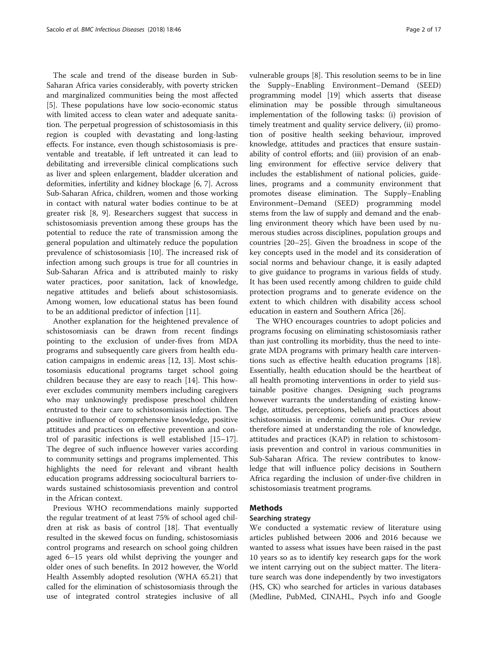The scale and trend of the disease burden in Sub-Saharan Africa varies considerably, with poverty stricken and marginalized communities being the most affected [[5\]](#page-15-0). These populations have low socio-economic status with limited access to clean water and adequate sanitation. The perpetual progression of schistosomiasis in this region is coupled with devastating and long-lasting effects. For instance, even though schistosomiasis is preventable and treatable, if left untreated it can lead to debilitating and irreversible clinical complications such as liver and spleen enlargement, bladder ulceration and deformities, infertility and kidney blockage [\[6](#page-15-0), [7](#page-15-0)]. Across Sub-Saharan Africa, children, women and those working in contact with natural water bodies continue to be at greater risk [[8, 9](#page-15-0)]. Researchers suggest that success in schistosomiasis prevention among these groups has the potential to reduce the rate of transmission among the general population and ultimately reduce the population prevalence of schistosomiasis [\[10\]](#page-15-0). The increased risk of infection among such groups is true for all countries in Sub-Saharan Africa and is attributed mainly to risky water practices, poor sanitation, lack of knowledge, negative attitudes and beliefs about schistosomiasis. Among women, low educational status has been found to be an additional predictor of infection [\[11\]](#page-15-0).

Another explanation for the heightened prevalence of schistosomiasis can be drawn from recent findings pointing to the exclusion of under-fives from MDA programs and subsequently care givers from health education campaigns in endemic areas [\[12](#page-15-0), [13\]](#page-15-0). Most schistosomiasis educational programs target school going children because they are easy to reach [[14\]](#page-15-0). This however excludes community members including caregivers who may unknowingly predispose preschool children entrusted to their care to schistosomiasis infection. The positive influence of comprehensive knowledge, positive attitudes and practices on effective prevention and control of parasitic infections is well established [[15](#page-15-0)–[17](#page-15-0)]. The degree of such influence however varies according to community settings and programs implemented. This highlights the need for relevant and vibrant health education programs addressing sociocultural barriers towards sustained schistosomiasis prevention and control in the African context.

Previous WHO recommendations mainly supported the regular treatment of at least 75% of school aged children at risk as basis of control [\[18\]](#page-15-0). That eventually resulted in the skewed focus on funding, schistosomiasis control programs and research on school going children aged 6–15 years old whilst depriving the younger and older ones of such benefits. In 2012 however, the World Health Assembly adopted resolution (WHA 65.21) that called for the elimination of schistosomiasis through the use of integrated control strategies inclusive of all vulnerable groups [[8\]](#page-15-0). This resolution seems to be in line the Supply–Enabling Environment–Demand (SEED) programming model [[19](#page-15-0)] which asserts that disease elimination may be possible through simultaneous implementation of the following tasks: (i) provision of timely treatment and quality service delivery, (ii) promotion of positive health seeking behaviour, improved knowledge, attitudes and practices that ensure sustainability of control efforts; and (iii) provision of an enabling environment for effective service delivery that includes the establishment of national policies, guidelines, programs and a community environment that promotes disease elimination. The Supply–Enabling Environment–Demand (SEED) programming model stems from the law of supply and demand and the enabling environment theory which have been used by numerous studies across disciplines, population groups and countries [[20](#page-15-0)–[25](#page-15-0)]. Given the broadness in scope of the key concepts used in the model and its consideration of social norms and behaviour change, it is easily adapted to give guidance to programs in various fields of study. It has been used recently among children to guide child protection programs and to generate evidence on the extent to which children with disability access school education in eastern and Southern Africa [\[26\]](#page-15-0).

The WHO encourages countries to adopt policies and programs focusing on eliminating schistosomiasis rather than just controlling its morbidity, thus the need to integrate MDA programs with primary health care interventions such as effective health education programs [\[18](#page-15-0)]. Essentially, health education should be the heartbeat of all health promoting interventions in order to yield sustainable positive changes. Designing such programs however warrants the understanding of existing knowledge, attitudes, perceptions, beliefs and practices about schistosomiasis in endemic communities. Our review therefore aimed at understanding the role of knowledge, attitudes and practices (KAP) in relation to schistosomiasis prevention and control in various communities in Sub-Saharan Africa. The review contributes to knowledge that will influence policy decisions in Southern Africa regarding the inclusion of under-five children in schistosomiasis treatment programs.

# Methods

## Searching strategy

We conducted a systematic review of literature using articles published between 2006 and 2016 because we wanted to assess what issues have been raised in the past 10 years so as to identify key research gaps for the work we intent carrying out on the subject matter. The literature search was done independently by two investigators (HS, CK) who searched for articles in various databases (Medline, PubMed, CINAHL, Psych info and Google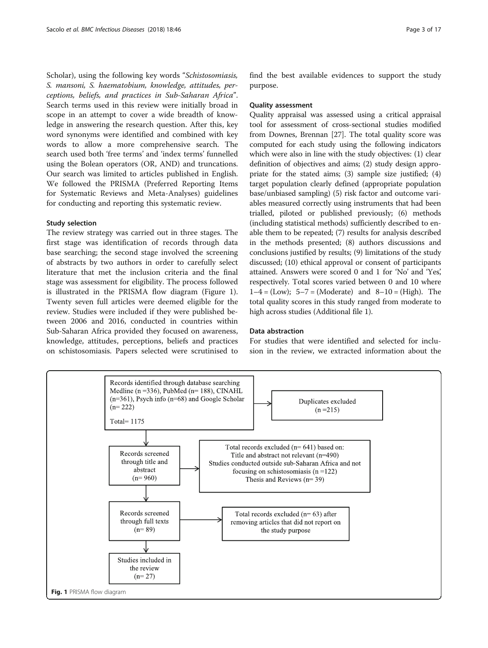Scholar), using the following key words "Schistosomiasis, S. mansoni, S. haematobium, knowledge, attitudes, perceptions, beliefs, and practices in Sub-Saharan Africa". Search terms used in this review were initially broad in scope in an attempt to cover a wide breadth of knowledge in answering the research question. After this, key word synonyms were identified and combined with key words to allow a more comprehensive search. The search used both 'free terms' and 'index terms' funnelled using the Bolean operators (OR, AND) and truncations. Our search was limited to articles published in English. We followed the PRISMA (Preferred Reporting Items for Systematic Reviews and Meta-Analyses) guidelines for conducting and reporting this systematic review.

## Study selection

The review strategy was carried out in three stages. The first stage was identification of records through data base searching; the second stage involved the screening of abstracts by two authors in order to carefully select literature that met the inclusion criteria and the final stage was assessment for eligibility. The process followed is illustrated in the PRISMA flow diagram (Figure 1). Twenty seven full articles were deemed eligible for the review. Studies were included if they were published between 2006 and 2016, conducted in countries within Sub-Saharan Africa provided they focused on awareness, knowledge, attitudes, perceptions, beliefs and practices on schistosomiasis. Papers selected were scrutinised to find the best available evidences to support the study purpose.

#### Quality assessment

Quality appraisal was assessed using a critical appraisal tool for assessment of cross-sectional studies modified from Downes, Brennan [\[27](#page-15-0)]. The total quality score was computed for each study using the following indicators which were also in line with the study objectives: (1) clear definition of objectives and aims; (2) study design appropriate for the stated aims; (3) sample size justified; (4) target population clearly defined (appropriate population base/unbiased sampling) (5) risk factor and outcome variables measured correctly using instruments that had been trialled, piloted or published previously; (6) methods (including statistical methods) sufficiently described to enable them to be repeated; (7) results for analysis described in the methods presented; (8) authors discussions and conclusions justified by results; (9) limitations of the study discussed; (10) ethical approval or consent of participants attained. Answers were scored 0 and 1 for 'No' and 'Yes', respectively. Total scores varied between 0 and 10 where  $1-4 = (Low);$  5–7 = (Moderate) and  $8-10 = (High).$  The total quality scores in this study ranged from moderate to high across studies (Additional file [1\)](#page-14-0).

## Data abstraction

For studies that were identified and selected for inclusion in the review, we extracted information about the

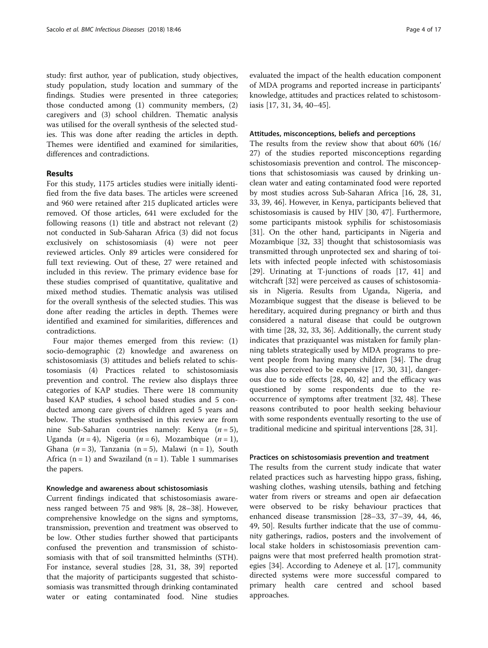study: first author, year of publication, study objectives, study population, study location and summary of the findings. Studies were presented in three categories; those conducted among (1) community members, (2) caregivers and (3) school children. Thematic analysis was utilised for the overall synthesis of the selected studies. This was done after reading the articles in depth. Themes were identified and examined for similarities, differences and contradictions.

# Results

For this study, 1175 articles studies were initially identified from the five data bases. The articles were screened and 960 were retained after 215 duplicated articles were removed. Of those articles, 641 were excluded for the following reasons (1) title and abstract not relevant (2) not conducted in Sub-Saharan Africa (3) did not focus exclusively on schistosomiasis (4) were not peer reviewed articles. Only 89 articles were considered for full text reviewing. Out of these, 27 were retained and included in this review. The primary evidence base for these studies comprised of quantitative, qualitative and mixed method studies. Thematic analysis was utilised for the overall synthesis of the selected studies. This was done after reading the articles in depth. Themes were identified and examined for similarities, differences and contradictions.

Four major themes emerged from this review: (1) socio-demographic (2) knowledge and awareness on schistosomiasis (3) attitudes and beliefs related to schistosomiasis (4) Practices related to schistosomiasis prevention and control. The review also displays three categories of KAP studies. There were 18 community based KAP studies, 4 school based studies and 5 conducted among care givers of children aged 5 years and below. The studies synthesised in this review are from nine Sub-Saharan countries namely: Kenya  $(n = 5)$ , Uganda  $(n = 4)$ , Nigeria  $(n = 6)$ , Mozambique  $(n = 1)$ , Ghana  $(n = 3)$ , Tanzania  $(n = 5)$ , Malawi  $(n = 1)$ , South Africa  $(n = 1)$  $(n = 1)$  $(n = 1)$  and Swaziland  $(n = 1)$ . Table 1 summarises the papers.

# Knowledge and awareness about schistosomiasis

Current findings indicated that schistosomiasis awareness ranged between 75 and 98% [\[8, 28](#page-15-0)–[38\]](#page-15-0). However, comprehensive knowledge on the signs and symptoms, transmission, prevention and treatment was observed to be low. Other studies further showed that participants confused the prevention and transmission of schistosomiasis with that of soil transmitted helminths (STH). For instance, several studies [\[28, 31](#page-15-0), [38](#page-15-0), [39](#page-15-0)] reported that the majority of participants suggested that schistosomiasis was transmitted through drinking contaminated water or eating contaminated food. Nine studies

evaluated the impact of the health education component of MDA programs and reported increase in participants' knowledge, attitudes and practices related to schistosomiasis [[17, 31, 34, 40](#page-15-0)–[45](#page-16-0)].

## Attitudes, misconceptions, beliefs and perceptions

The results from the review show that about 60% (16/ 27) of the studies reported misconceptions regarding schistosomiasis prevention and control. The misconceptions that schistosomiasis was caused by drinking unclean water and eating contaminated food were reported by most studies across Sub-Saharan Africa [[16, 28](#page-15-0), [31](#page-15-0), [33, 39](#page-15-0), [46](#page-16-0)]. However, in Kenya, participants believed that schistosomiasis is caused by HIV [[30,](#page-15-0) [47](#page-16-0)]. Furthermore, some participants mistook syphilis for schistosomiasis [[31\]](#page-15-0). On the other hand, participants in Nigeria and Mozambique [\[32, 33](#page-15-0)] thought that schistosomiasis was transmitted through unprotected sex and sharing of toilets with infected people infected with schistosomiasis [[29\]](#page-15-0). Urinating at T-junctions of roads [[17](#page-15-0), [41](#page-15-0)] and witchcraft [[32](#page-15-0)] were perceived as causes of schistosomiasis in Nigeria. Results from Uganda, Nigeria, and Mozambique suggest that the disease is believed to be hereditary, acquired during pregnancy or birth and thus considered a natural disease that could be outgrown with time [[28, 32, 33](#page-15-0), [36](#page-15-0)]. Additionally, the current study indicates that praziquantel was mistaken for family planning tablets strategically used by MDA programs to prevent people from having many children [[34\]](#page-15-0). The drug was also perceived to be expensive [\[17, 30, 31](#page-15-0)], dangerous due to side effects [[28, 40](#page-15-0), [42](#page-15-0)] and the efficacy was questioned by some respondents due to the reoccurrence of symptoms after treatment [[32,](#page-15-0) [48](#page-16-0)]. These reasons contributed to poor health seeking behaviour with some respondents eventually resorting to the use of traditional medicine and spiritual interventions [\[28, 31\]](#page-15-0).

#### Practices on schistosomiasis prevention and treatment

The results from the current study indicate that water related practices such as harvesting hippo grass, fishing, washing clothes, washing utensils, bathing and fetching water from rivers or streams and open air defaecation were observed to be risky behaviour practices that enhanced disease transmission [\[28](#page-15-0)–[33, 37](#page-15-0)–[39, 44](#page-15-0), [46](#page-16-0), [49, 50](#page-16-0)]. Results further indicate that the use of community gatherings, radios, posters and the involvement of local stake holders in schistosomiasis prevention campaigns were that most preferred health promotion strategies [\[34](#page-15-0)]. According to Adeneye et al. [\[17\]](#page-15-0), community directed systems were more successful compared to primary health care centred and school based approaches.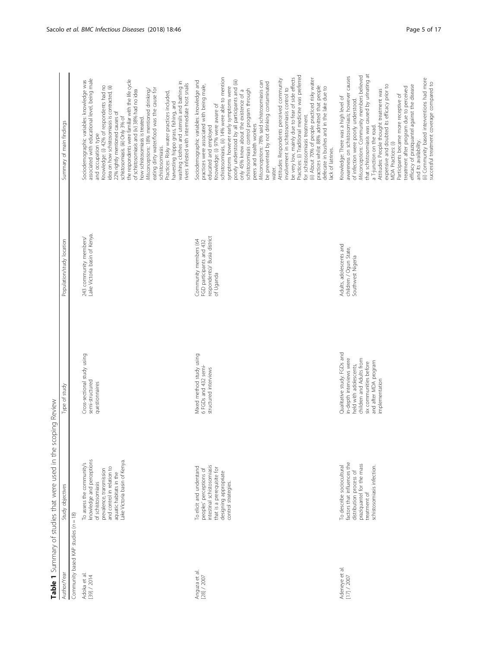<span id="page-4-0"></span>

|                                                                     | Table 1 Summary of studies that were used in the scoping Review                                                                                                                                    |                                                                                                                                                                                    |                                                                                                |                                                                                                                                                                                                                                                                                                                                                                                                                                                                                                                                                                                                                                                                                                                                                                                                                                                                                                                                 |
|---------------------------------------------------------------------|----------------------------------------------------------------------------------------------------------------------------------------------------------------------------------------------------|------------------------------------------------------------------------------------------------------------------------------------------------------------------------------------|------------------------------------------------------------------------------------------------|---------------------------------------------------------------------------------------------------------------------------------------------------------------------------------------------------------------------------------------------------------------------------------------------------------------------------------------------------------------------------------------------------------------------------------------------------------------------------------------------------------------------------------------------------------------------------------------------------------------------------------------------------------------------------------------------------------------------------------------------------------------------------------------------------------------------------------------------------------------------------------------------------------------------------------|
| Author/Year                                                         | Study objectives                                                                                                                                                                                   | Type of study                                                                                                                                                                      | Population/study location                                                                      | Summary of main findings                                                                                                                                                                                                                                                                                                                                                                                                                                                                                                                                                                                                                                                                                                                                                                                                                                                                                                        |
| Community based KAP studies (n = 18)<br>Adoka et al.<br>[39] / 2014 | knowledge and perceptions<br>Lake Victoria basin of Kenya.<br>To assess the community's<br>and control in relation to<br>prevalence, transmission<br>aquatic habitats in the<br>of schistosomiasis | Cross-sectional study using<br>semi-structured<br>questionnaires                                                                                                                   | Lake Victoria basin of Kenya.<br>243 community members                                         | associated with educational level, being male<br>Sociodemographic variables: knowledge was<br>the respondents were familiar with the life cycle<br>washing clothes and utensils and bathing in<br>rivers infested with intermediate host snails<br>Knowledge: (i) 42% of respondents had no<br>idea on how schistosomiasis is contracted, (ii)<br>eating dirty water/food was the cause for<br>Misconceptions: 18% mentioned drinking/<br>of schistosomiasis and (iv) 38% had no idea<br>Practices: Risky water practices included,<br>harvesting hippo grass, fishing, and<br>22% rightly mentioned causes of<br>schistosomiasis. (iii) Only 3% of<br>how schistosomiasis is treated.<br>and occupation type<br>schistosomiasis.                                                                                                                                                                                               |
| Anguza et al.<br>[28] / 2007                                        | intestinal schistosomiasis<br>To elicit and understand<br>that is a prerequisite for<br>peoples' perceptions of<br>designing appropriate<br>control strategies.                                    | Mixed method study using<br>6 FGDs and 432 semi-<br>structured interviews                                                                                                          | respondents)/ Busia district<br>Community members (64<br>FGD participants and 432<br>of Uganda | Practices: (i) Traditional medicine was preferred<br>schistosomiasis, (ii) 14% were able to mention<br>be very low, mainly due to fear of side effects<br>(ii) About 70% of people practiced risky water<br>Attitudes: Respondents perceived community<br>poorly understood by all participants and (iii)<br>Sociodemographic variables: knowledge and<br>Misconceptions: 78% said schistosomiasis can<br>be prevented by not drinking contaminated<br>practices were associated with being male,<br>practices whilst 88% admitted that people<br>symptoms however early symptoms were<br>defecate in bushes and in the lake due to<br>involvement in schistosomiasis control to<br>schistosomiasis control program through<br>only 45% knew about the existence of a<br>Knowledge: (i) 97% were aware of<br>for schistosomiasis treatment.<br>peers and health workers<br>educated and employed<br>lack of latrines.<br>water. |
| Adeneye et al.<br>[17] / 2007                                       | factors that influences the<br>praziquantel for the mass<br>schistosomiasis infection.<br>To describe sociocultural<br>distribution process of<br>treatment of                                     | Qualitative study: FGDs and<br>in-depth interviews were<br>children and Adults from<br>and after MDA program<br>six communities before<br>held with adolescents,<br>implementation | Adults, adolescents and<br>children / Ogun State,<br>Southwest Nigeria                         | that schistosomiasis was caused by urinating at<br>Misconceptions: Community members believed<br>awareness on schistosomiasis; however causes<br>(ii) Community based interventions had more<br>successful treatment coverage compared to<br>expensive and doubted its efficacy prior to<br>efficacy of praziquantel against the disease<br>treatment after program due to perceived<br>Attitudes: People thought treatment was<br>Participants became more receptive of<br>Knowledge: There was a high level of<br>of infection were poorly understood.<br>a T-junction on the road.<br>and its availability.<br><b>MDA Practices: (i)</b>                                                                                                                                                                                                                                                                                     |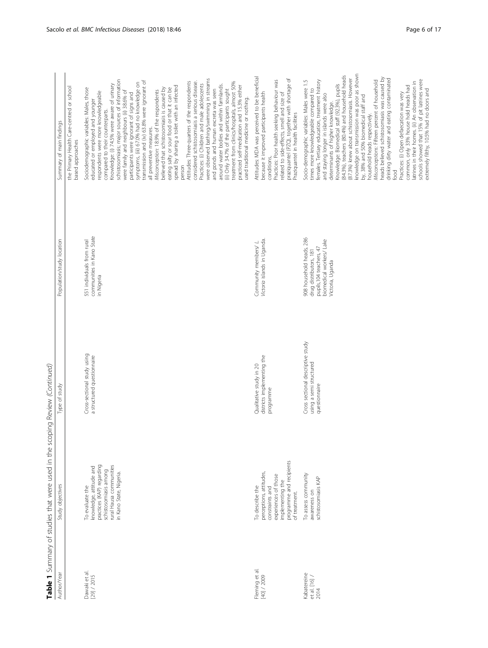|                                                                             | Summary of main findings<br>Population/study location | the Primary Health Care-centred or school<br>based approaches | were observed bathing/swimming in streams<br>schistosomiasis; major sources of information<br>transmission and (iv) 63.8% were ignorant of<br>Attitudes: Three-quarters of the respondents<br>considered schistosomiasis a serious disease.<br>treatment from clinics/hospitals, almost 50%<br>symptoms, (iii) 67.0% had no knowledge on<br>Practices: (i) Children and male adolescents<br>Knowledge: (i) 74.5% were aware of urinary<br>around water bodies and within farmlands.<br>practiced self-medication and 15.3% either<br>spread by sharing a toilet with an infected<br>believed that schistosomiasis is caused by<br>Sociodemographic variables: Males, those<br>eating salty or sour food or that it can be<br>(ii) Only 34.7% of the participants sought<br>Misconception: 18.9% of the respondents<br>were family and neighbours (ii) 38.6% of<br>and ponds and human excreta was seen<br>respondents were more knowledgeable<br>participants were ignorant of signs and<br>used traditional medicine or nothing.<br>educated or employed and younger<br>compared to their counterparts.<br>all preventive measures.<br>person<br>communities in Kano State<br>551 individuals from rural | Attitudes: MDA was perceived to be beneficial<br>praziquantel (PZQ), together with shortage of<br>Praziquantel in health facilities<br>Practices: Poor health seeking behaviour was<br>because it improved participants health<br>related to side-effects, smell and size of<br>conditions,<br>Victoria islands in Uganda<br>Community members/L | knowledge on transmission was poor as shown<br>(84.3%), teachers (80.4%) and household heads<br>heads believed schistosomiasis was caused by<br>(87.3%) knew about schistosomiasis. However<br>drinking dirty water and eating contaminated<br>females. Tertiary education, treatment history<br>Socio-demographic variables: Males were 1.5<br>Misconceptions: Fifteen percent of household<br>common, only 33% house hold heads had<br>latrines in their homes. (ii) An observation in<br>Knowledge: Biomedical staff (92.3%), pupils<br>times more knowledgeable compared to<br>Practices: (i) Open defaecation was very<br>and staying longer in islands were also<br>by, 38% and 50% biomedical staff and<br>determinants of higher knowledge.<br>household heads respectively.<br>food<br>908 household heads, 286<br>biomedical workers/ Lake<br>pupils, 104 teachers, 47<br>drug distributors, 181<br>Victoria, Uganda |
|-----------------------------------------------------------------------------|-------------------------------------------------------|---------------------------------------------------------------|-----------------------------------------------------------------------------------------------------------------------------------------------------------------------------------------------------------------------------------------------------------------------------------------------------------------------------------------------------------------------------------------------------------------------------------------------------------------------------------------------------------------------------------------------------------------------------------------------------------------------------------------------------------------------------------------------------------------------------------------------------------------------------------------------------------------------------------------------------------------------------------------------------------------------------------------------------------------------------------------------------------------------------------------------------------------------------------------------------------------------------------------------------------------------------------------------------------|--------------------------------------------------------------------------------------------------------------------------------------------------------------------------------------------------------------------------------------------------------------------------------------------------------------------------------------------------|--------------------------------------------------------------------------------------------------------------------------------------------------------------------------------------------------------------------------------------------------------------------------------------------------------------------------------------------------------------------------------------------------------------------------------------------------------------------------------------------------------------------------------------------------------------------------------------------------------------------------------------------------------------------------------------------------------------------------------------------------------------------------------------------------------------------------------------------------------------------------------------------------------------------------------|
|                                                                             | Type of study                                         |                                                               | in Nigeria<br>Cross-sectional study using<br>a structured questionnaire                                                                                                                                                                                                                                                                                                                                                                                                                                                                                                                                                                                                                                                                                                                                                                                                                                                                                                                                                                                                                                                                                                                                   | districts implementing the<br>Qualitative study in 20<br>programme                                                                                                                                                                                                                                                                               | Cross sectional descriptive study<br>using a semi structured<br>questionnaire                                                                                                                                                                                                                                                                                                                                                                                                                                                                                                                                                                                                                                                                                                                                                                                                                                                  |
| Table 1 Summary of studies that were used in the scoping Review (Continued) | Study objectives                                      |                                                               | practices (KAP) regarding<br>rural Hausa communities<br>knowledge, attitude and<br>schistosomiasis among<br>in Kano State, Nigeria.<br>To evaluate the                                                                                                                                                                                                                                                                                                                                                                                                                                                                                                                                                                                                                                                                                                                                                                                                                                                                                                                                                                                                                                                    | programme and recipients<br>perceptions, attitudes,<br>experiences of those<br>implementing the<br>To describe the<br>constraints and<br>of treatment.                                                                                                                                                                                           | To assess community<br>schistosomiasis KAP<br>awareness on                                                                                                                                                                                                                                                                                                                                                                                                                                                                                                                                                                                                                                                                                                                                                                                                                                                                     |
|                                                                             | Author/Year                                           |                                                               | Dawaki et al<br>[29] / 2015                                                                                                                                                                                                                                                                                                                                                                                                                                                                                                                                                                                                                                                                                                                                                                                                                                                                                                                                                                                                                                                                                                                                                                               | Fleming et al.<br>[40] / 2009                                                                                                                                                                                                                                                                                                                    | Kabatereine<br>et al. [16] /<br>2014                                                                                                                                                                                                                                                                                                                                                                                                                                                                                                                                                                                                                                                                                                                                                                                                                                                                                           |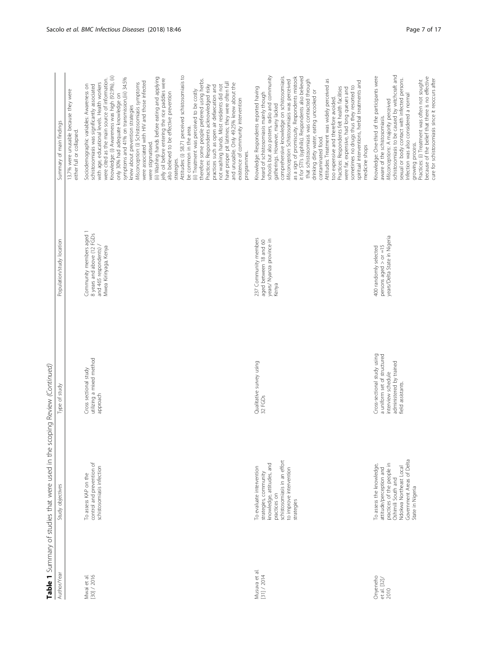|                                  | Table 1 Summary of studies that were used in the scoping Review (Continued)                                                                                                        |                                                                                                                                  |                                                                                                           |                                                                                                                                                                                                                                                                                                                                                                                                                                                                                                                                                                                                                                                                                                                                                                                                                                                                                                                                                                                                                                                                                                                                  |
|----------------------------------|------------------------------------------------------------------------------------------------------------------------------------------------------------------------------------|----------------------------------------------------------------------------------------------------------------------------------|-----------------------------------------------------------------------------------------------------------|----------------------------------------------------------------------------------------------------------------------------------------------------------------------------------------------------------------------------------------------------------------------------------------------------------------------------------------------------------------------------------------------------------------------------------------------------------------------------------------------------------------------------------------------------------------------------------------------------------------------------------------------------------------------------------------------------------------------------------------------------------------------------------------------------------------------------------------------------------------------------------------------------------------------------------------------------------------------------------------------------------------------------------------------------------------------------------------------------------------------------------|
| Author/Year                      | Study objectives                                                                                                                                                                   | Type of study                                                                                                                    | Population/study location                                                                                 | Summary of main findings                                                                                                                                                                                                                                                                                                                                                                                                                                                                                                                                                                                                                                                                                                                                                                                                                                                                                                                                                                                                                                                                                                         |
|                                  |                                                                                                                                                                                    |                                                                                                                                  |                                                                                                           | 13.7% were unusable because they were<br>either full or collapsed.                                                                                                                                                                                                                                                                                                                                                                                                                                                                                                                                                                                                                                                                                                                                                                                                                                                                                                                                                                                                                                                               |
| Mwai et al.<br>[30] / 2016       | control and prevention of<br>schistosomiasis infection<br>To assess KAP on the                                                                                                     | utilizing a mixed method<br>Cross sectional study<br>approach                                                                    | Community members aged 1<br>8 years and above (12 FGDs<br>and 465 respondents) /<br>Mwea Kirinyaga, Kenya | Attitudes: (i) 58.71 perceived schistosomiasis to<br>Knowledge: (i) Awareness was high (92.9%), (ii)<br>(ii) Washing hands before eating and applying<br>symptoms and 41% on transmission, (iii) 34.5%<br>jelly oil before entering the rice paddies were<br>were cited as the main source of information.<br>therefore some people preferred using herbs.<br>were associated with HIV and those infected<br>have proper pit latrines; they were often full<br>Misconception: (i) Schistosomiasis symptoms<br>with age, educational levels. Health workers<br>and unusable. Only 49.25% knew about the<br>Sociodemographic variables: Awareness on<br>not washing hands. Most residents did not<br>Practices: Respondents acknowledged risky<br>schistosomiasis was significantly associated<br>practices such as open air defaecation and<br>(ii) Treatment was perceived to be costly<br>also believed to be effective prevention<br>only 30% had adequate knowledge on<br>existence of community intervention<br>knew about prevention strategies<br>be common in the area.<br>were stigmatised.<br>programmes.<br>strategies |
| Musuva et al.<br>[31] / 2014     | schistosomiasis in an effort<br>knowledge, attitudes, and<br>To evaluate intervention<br>to improve intervention<br>strategies, community<br>practices on<br>strategies            | Qualitative survey using<br>32 FGDs                                                                                              | 237 Community members<br>years/ Nyanza province in<br>aged between 18 and 60<br>Kenya                     | schools but also posters, radio and community<br>comprehensive knowledge on schistosomiasis.<br>it for STI's (syphilis). Respondents also believed<br>as a sign of promiscuity. Respondents mistook<br>that schistosomiasis was contracted through<br>Attitudes: Treatment was widely perceived as<br>Misconception: Schistosomiasis was perceived<br>spiritual interventions, herbal treatments and<br>sometimes no drugs thus they resorted to<br>Knowledge: Respondents reported having<br>Practices: Respondents felt health facilities<br>were far, expensive, had long queues and<br>drinking dirty water, eating uncooked or<br>heard of schistosomiasis mainly though<br>too expensive and therefore avoided.<br>gatherings. However, many lacked<br>contaminated food.<br>medicine shops                                                                                                                                                                                                                                                                                                                                |
| Onyeneho<br>et al. [32]/<br>2010 | Government Areas of Delta<br>practices of the people in<br>To assess the knowledge,<br>Ndokwa Northeast Local<br>attitude/perception and<br>Oshimili South and<br>State in Nigeria | Cross-sectional study using<br>a uniform set of structured<br>administered by trained<br>interview schedule<br>field assistants. | years/Delta State in Nigeria<br>persons aged > or =15<br>400 randomly selected                            | schistosomiasis to be caused by witchcraft and<br>Knowledge: One-third of the participants were<br>because of the belief that there is no effective<br>sexual or body contact with infected persons.<br>cure for schistosomiasis since it reoccurs after<br>Practices: (i) Treatment was often not sought<br>Infection was also considered a normal<br>Misconceptions: A majority perceived<br>aware of the schistosomiasis.<br>growing process.                                                                                                                                                                                                                                                                                                                                                                                                                                                                                                                                                                                                                                                                                 |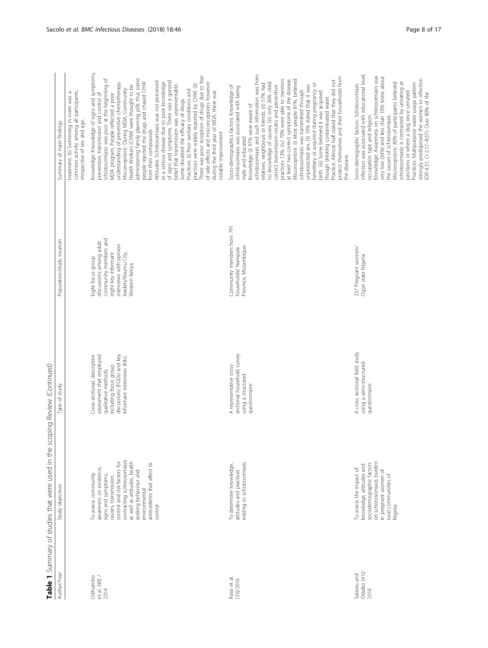|                                    | Table 1 Summary of studies that were used in the scoping Review (Continued)                                                                                                                                                                                                       |                                                                                                                                                                         |                                                                                                                                                                  |                                                                                                                                                                                                                                                                                                                                                                                                                                                                                                                                                                                                                                                                                                                                                                                                                                                                                                                                       |
|------------------------------------|-----------------------------------------------------------------------------------------------------------------------------------------------------------------------------------------------------------------------------------------------------------------------------------|-------------------------------------------------------------------------------------------------------------------------------------------------------------------------|------------------------------------------------------------------------------------------------------------------------------------------------------------------|---------------------------------------------------------------------------------------------------------------------------------------------------------------------------------------------------------------------------------------------------------------------------------------------------------------------------------------------------------------------------------------------------------------------------------------------------------------------------------------------------------------------------------------------------------------------------------------------------------------------------------------------------------------------------------------------------------------------------------------------------------------------------------------------------------------------------------------------------------------------------------------------------------------------------------------|
| Author/Year                        | Study objectives                                                                                                                                                                                                                                                                  | Type of study                                                                                                                                                           | Population/study location                                                                                                                                        | Summary of main findings                                                                                                                                                                                                                                                                                                                                                                                                                                                                                                                                                                                                                                                                                                                                                                                                                                                                                                              |
|                                    |                                                                                                                                                                                                                                                                                   |                                                                                                                                                                         |                                                                                                                                                                  | common activity among all participants,<br>treatment. (ii) Swimming in rivers was a<br>irrespective of sex and age.                                                                                                                                                                                                                                                                                                                                                                                                                                                                                                                                                                                                                                                                                                                                                                                                                   |
| et al. [48] /<br>2014<br>Odhiambo  | contracting schistosomiasis<br>as well as attitudes, health<br>control and risk factors for<br>antecedents that affect its<br>awareness on existence,<br>seeking behaviour and<br>To assess community<br>signs and symptoms,<br>causes, transmission,<br>environmental<br>control | discussions (FGDs) and key<br>Cross-sectional, descriptive<br>assessment that employed<br>informant interviews (KIIs).<br>including focus group<br>qualitative methods, | community members and<br>discussions among adult<br>interviews with opinion<br>leaders/Kisumu City,<br>eight key informant<br>Eight focus group<br>Western Kenya | Knowledge: Knowledge of signs and symptoms,<br>There was poor reception of drugs due to fear<br>schistosomiasis was poor at the beginning of<br>administering family planning pills thus some<br>Attitudes: Schistosomiasis was not perceived<br>of signs and symptoms. There was a general<br>people rejected the drugs and chased CHW<br>as a serious disease due to poor knowledge<br>of side effects and misconceptions however<br>understanding of preventive chemotherapy.<br>belief that transmission was unpreventable.<br>practices were widely reported by CHW. (ii)<br>Health Workers (CHW) were thought to be<br>Misconceptions: During MDA, Community<br>Practices: (i) Poor sanitary conditions and<br>during the third year of MDA, there was<br>prevention, transmission and control of<br>MDA program. People reflected a poor<br>Some doubted the efficacy of drugs.<br>from their compounds<br>notable improvement |
| Rassi et al.<br>[33]/2016          | relating to schistosomiasis<br>To determine knowledge,<br>attitudes and practices                                                                                                                                                                                                 | sectional household survey<br>A representative cross-<br>using a structured<br>questionnaire                                                                            | Community members from 791<br>Province, Mozambique<br>households/ Nampula                                                                                        | schistosomiasis and such information was from<br>protect themselves and their households from<br>Misconceptions: (i) Most people 81%, believed<br>practices 13%. (iv) 70% were able to mention<br>at least two correct symptoms of the disease.<br>Practice: Almost half stated that they did not<br>no knowledge of causes; (iii) only 26% cited<br>relatives, neighbours or friends. (ii) 57% had<br>hereditary or acquired during pregnancy or<br>Socio-demographics factors: Knowledge of<br>unprotected sex, (ii) 16% stated that it was<br>correct transmission routes and preventive<br>schistosomiasis was associated with being<br>schistosomiasis was transmitted through<br>birth. (iii) Some believed it was acquired<br>though drinking contaminated water.<br>Knowledge: (i) 91% were aware of<br>male and educated.<br>the disease.                                                                                    |
| Odaibo [41]/<br>Salawu and<br>2016 | on schistosomiasis burden<br>sociodemographic factors<br>knowledge, attitudes and<br>To assess the impact of<br>in pregnant women of<br>rural communities of<br>Nigeria.                                                                                                          | A cross sectional field study<br>using a semi-structured<br>questionnaire                                                                                               | 237 Pregnant women/<br>Ogun state Nigeria                                                                                                                        | infection was associated with educational level,<br>Knowledge: Awareness on schistosomiasis was<br>very low (34%) and less than 10% knew about<br>strongly predisposed the women to infection<br>(OR 4.31, Cl 2.17–8.57). Over 80% of the<br>schistosomiasis is contracted by urinating at<br>Misconceptions: 80% of participants believed<br>Practices: Multipurpose water usage pattern<br>Socio-demographic factors: Schistosomiasis<br>junctions or where a dog once urinated<br>occupation type and religion.<br>the causes of schistosomiasis.                                                                                                                                                                                                                                                                                                                                                                                  |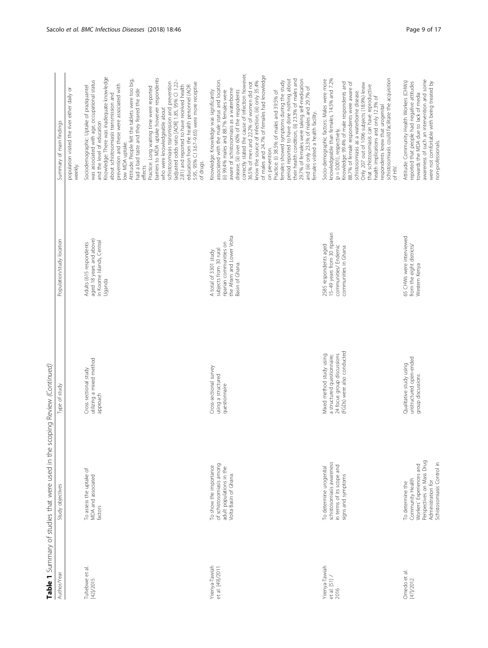|                                         | Table 1 Summary of studies that were used in the scoping Review (Continued)                                                                       |                                                                                                                     |                                                                                                                            |                                                                                                                                                                                                                                                                                                                                                                                                                                                                                                                                                                                                                                                                                                                                                                             |
|-----------------------------------------|---------------------------------------------------------------------------------------------------------------------------------------------------|---------------------------------------------------------------------------------------------------------------------|----------------------------------------------------------------------------------------------------------------------------|-----------------------------------------------------------------------------------------------------------------------------------------------------------------------------------------------------------------------------------------------------------------------------------------------------------------------------------------------------------------------------------------------------------------------------------------------------------------------------------------------------------------------------------------------------------------------------------------------------------------------------------------------------------------------------------------------------------------------------------------------------------------------------|
| Author/Year                             | Study objectives                                                                                                                                  | Type of study                                                                                                       | Population/study location                                                                                                  | Summary of main findings                                                                                                                                                                                                                                                                                                                                                                                                                                                                                                                                                                                                                                                                                                                                                    |
|                                         |                                                                                                                                                   |                                                                                                                     |                                                                                                                            | population visited the river either daily or<br>weekly.                                                                                                                                                                                                                                                                                                                                                                                                                                                                                                                                                                                                                                                                                                                     |
| Tuhebwe et al.<br>[42]/2015             | To assess the uptake of<br>MDA and associated<br>factors                                                                                          | utilizing a mixed method<br>Cross sectional study<br>approach                                                       | aged 18 years and above)<br>in Koome Islands, Central<br>Adults (615 respondents<br>Uganda                                 | Knowledge: There was inadequate knowledge<br>barriers to MDA uptake however respondents<br>Attitude: People felt the tablets were too big,<br>was associated with age, occupational status<br>(adjusted odds ratio [AOR] 1.85, 95% Cl 1.22-<br>schistosomiasis transmission and prevention<br>education from the health personnel (AOR<br>5.95, 95% Cl 3.67–9.65) were more receptive<br>prevention and these were associated with<br>2.81) and reported to have received health<br>Sociodemographic: Uptake of praziquantel<br>Practice: Long waiting time were reported<br>had a bad taste and they feared the side<br>about schistosomiasis transmission and<br>who were knowledgeable about<br>and the level of education<br>low MDA uptake.<br>of drugs.<br>effects    |
| Yirenya-Tawiah<br>et al. [49]/2011      | of schistosomiasis among<br>To show the importance<br>adult populations in the<br>Volta Basin of Ghana.                                           | Cross-sectional survey<br>using a structured<br>questionnaire                                                       | the Afram and Lower Volta<br>riparian communities on<br>subjects from 30 rural<br>A total of 3301 study<br>Basin of Ghana. | correctly stated the cause of infection however,<br>of males and 24.7% of females had knowledge<br>their health condition, (ii) 23.3% of males and<br>29.7% of females were taking self-medication<br>period reported to have done nothing about<br>associated with the male status and location.<br>females showed symptoms during the study<br>know the source of infection; (iii) only 35.4%<br>36.5% of men and 22.2% of women did not<br>and (iii) only 23.3% of males and 29.7% of<br>aware of schistosomiasis as a waterborne<br>(ii) 99.4% males and 88.7% females were<br>disease, (ii) over 60% of the respondents<br>Knowledge: Knowledge was significantly<br>Practice: (i) 38.5% of males and 39.5% of<br>females visited a health facility.<br>on prevention. |
| Yirenya-Tawiah<br>et al. [51] /<br>2016 | schistosomiasis awareness<br>in terms of its scope and<br>To determine urogenital<br>signs and symptoms                                           | (FGDs) were also conducted<br>24 focus group discussions<br>Mixed method study using<br>a structured questionnaire; | 15-49 years from 30 riparian<br>2585 respondents aged<br>communities/ Endemic<br>communities in Ghana                      | knowledgeable than females, 14.5% and 7.2%<br>schistosomiasis could facilitate the acquisition<br>Socio-demographic factors: Males were more<br>Knowledge: 99.4% of male respondents and<br>88.7% of female respondents were aware of<br>Only 207 out of 1096 subjects (18.9%) knew<br>that schistosomiasis can have reproductive<br>schistosomiasis as a waterborne disease.<br>health implications and only 12.3% of<br>respondents knew that urogenital<br>$(p = 0.001)$ , respectively.<br>of HIV.                                                                                                                                                                                                                                                                      |
| Omedo et al.<br>[47]/2012               | Perspectives on Mass Drug<br>Schistosomiasis Control in<br>Workers' Experiences and<br>Community Health<br>Administration for<br>To determine the | unstructured open-ended<br>Qualitative study using<br>group discussions                                             | 65 CHWs were interviewed<br>from the eight districts/<br>Western Kenya                                                     | awareness of such an intervention and some<br>Attitude: Community Health Workers (CHWs)<br>were not comfortable with being treated by<br>reported that people had negative attitudes<br>towards the MDA due to lack of media<br>non-professionals.                                                                                                                                                                                                                                                                                                                                                                                                                                                                                                                          |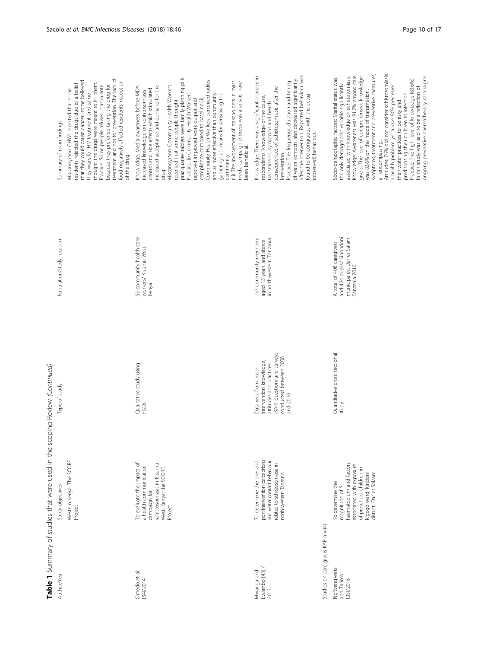| Author/Year                                                                   | Study objectives                                                                                                                                                          | Type of study                                                                                                                                  | Population/study location                                                                              | Summary of main findings                                                                                                                                                                                                                                                                                                                                                                                                                                                                                                                                                                                                                                                                                   |
|-------------------------------------------------------------------------------|---------------------------------------------------------------------------------------------------------------------------------------------------------------------------|------------------------------------------------------------------------------------------------------------------------------------------------|--------------------------------------------------------------------------------------------------------|------------------------------------------------------------------------------------------------------------------------------------------------------------------------------------------------------------------------------------------------------------------------------------------------------------------------------------------------------------------------------------------------------------------------------------------------------------------------------------------------------------------------------------------------------------------------------------------------------------------------------------------------------------------------------------------------------------|
|                                                                               | Western Kenya: The SCORE<br>Project                                                                                                                                       |                                                                                                                                                |                                                                                                        | treatment and not for prevention. The lack of<br>that they could cause cancer, some believed<br>food negatively affected residents' reception<br>thought the drugs were meant to kill them.<br>residents rejected the drugs due to a belief<br>Practice: Some people refused praziquantel<br>because they preferred taking the drug for<br>Misconception: CHWs reported that some<br>they were for HIV treatment and some<br>of the drug.                                                                                                                                                                                                                                                                  |
| Omedo et al.<br>[34]/2014                                                     | To evaluate the impact of<br>schistosomiasis in Kisumu<br>a health communication<br>West, Kenya: the SCORE<br>campaign for<br>Project                                     | Qualitative study using<br>FGDs                                                                                                                | 53 community health care<br>workers/ Kisumu West,<br>Kenya                                             | praziquantel tablets were family planning pills<br>Community Health Workers perceived radios<br>(iii) The involvement of stakeholders in mass<br>media campaign process was also said have<br>increased acceptance and demand for the<br>Misconception: Community Health Workers<br>Knowledge: Media awareness before MDA<br>control and side effects which stimulated<br>increased knowledge on schistosomiasis<br>Practice: (i) Community Health Workers<br>and as more effective than community<br>gatherings as means for sensitising the<br>reported improved work output and<br>compliance compared to baseline.(ii)<br>reported that some people thought<br>been beneficial.<br>community.<br>drug. |
| Mwanga and<br>Lwambo [43] /<br>2013                                           | post-intervention perceptions<br>To determine the pre-and<br>and water contact behaviour<br>related to schistosomiasis in<br>north-western Tanzania                       | (KAP) questionnaire surveys<br>conducted between 2008<br>intervention knowledge,<br>attitudes and practices<br>Data was from post-<br>and 2010 | in north-western Tanzania.<br>157 community members<br>aged 15 years and above                         | after the intervention. Reported behaviour was<br>Knowledge: There was a significant increase in<br>of water contacts also decreased significantly<br>Practice: The frequency, duration and timing<br>consequences of schistosomiasis after the<br>found to be congruous with the actual<br>respondents' knowledge of the cause,<br>transmission, symptoms and health<br>(observed) behaviour.<br>intervention.                                                                                                                                                                                                                                                                                            |
| Studies on care givers KAP n = (4)<br>Ng'weng'weta<br>and Tarimo<br>[35]/2016 | haematobium and factors<br>associated with exposure<br>of preschool children in<br>Kigogo ward, Kindoni<br>district, Dar es Salaam<br>To determine the<br>magnitude of S. | Quantitative cross sectional<br>study                                                                                                          | and 424 pupils/ Kinondoni<br>municipality, Dar es Salam,<br>A total of 408 caregivers<br>Tanzania 2016 | symptoms, treatment and preventive measures,<br>all encompassing.<br>Attitudes: 76% did not consider schistosomiasis<br>associated with knowledge on schistosomiasis.<br>Knowledge: Awareness was 91.7% among care<br>ongoing preventive chemotherapy campaigns<br>givers. The level of comprehensive knowledge<br>Socio-demographic factors: Marital status was<br>Practice: The high level of knowledge (83.6%)<br>a health problem yet above 90% perceived<br>the only demographic variable significantly<br>in this study was said to be a reflection of<br>was 83.6% on the mode of transmission,<br>predisposing their children to infection<br>their water practices to be risky and                |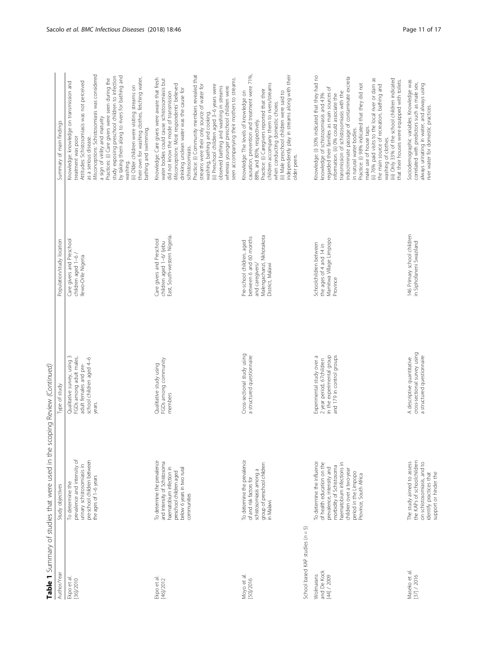|                                                                                                               | Table 1 Summary of studies that were used in the scoping Review (Continued)                                                                                                                                                                                                              |                                                                                                                                                                                |                                                                                                                                                     |                                                                                                                                                                                                                                                                                                                                                                                                                                                                                                                                                                                                                                                                                                                 |
|---------------------------------------------------------------------------------------------------------------|------------------------------------------------------------------------------------------------------------------------------------------------------------------------------------------------------------------------------------------------------------------------------------------|--------------------------------------------------------------------------------------------------------------------------------------------------------------------------------|-----------------------------------------------------------------------------------------------------------------------------------------------------|-----------------------------------------------------------------------------------------------------------------------------------------------------------------------------------------------------------------------------------------------------------------------------------------------------------------------------------------------------------------------------------------------------------------------------------------------------------------------------------------------------------------------------------------------------------------------------------------------------------------------------------------------------------------------------------------------------------------|
| Author/Year                                                                                                   | Study objectives                                                                                                                                                                                                                                                                         | Type of study                                                                                                                                                                  | Population/study location                                                                                                                           | Summary of main findings                                                                                                                                                                                                                                                                                                                                                                                                                                                                                                                                                                                                                                                                                        |
| Ekpo et al.<br>[36]/2010                                                                                      | prevalence and intensity of<br>pre-school children between<br>urinary schistosomiasis in<br>the ages of 1-6 years<br>To determine the                                                                                                                                                    | Qualitative survey, using 3<br>FGDs among adult males,<br>adult females and pre-<br>school children aged 4-6<br>years.                                                         | Care givers and Preschool<br>children aged 1-6 /<br>lewo-Orile Nigeria.                                                                             | Misconceptions: Schistosomiasis was considered<br>by taking them along to rivers for bathing and<br>study exposing preschool children to infection<br>their own for washing clothes, fetching water,<br>Practices: (i) Care givers were seen during the<br>Attitudes: Schistosomiasis was not perceived<br>Knowledge: knowledge on transmission and<br>(ii) Older children were visiting streams on<br>a sign of virility and maturity<br>bathing and swimming.<br>as a serious disease.<br>treatment was poor<br>washing.                                                                                                                                                                                      |
| Ekpo et al.<br>[46]/2012                                                                                      | To determine the prevalence<br>and intensity of Schistosoma<br>haematobium infection in<br>below 6 years in two rural<br>preschool children aged<br>communities                                                                                                                          | FGDs among community<br>Qualitative study using<br>members                                                                                                                     | East, South-western Nigeria.<br>Care givers and Preschool<br>children aged 1-6/ ljebu                                                               | Practice: (i) Community members revealed that<br>Knowledge: Care givers were aware that fresh<br>seen accompanying their mothers to streams.<br>water bodies could cause schistosomiasis but<br>Misconceptions: Most respondents' believed<br>streams were their only source of water for<br>(ii) Preschool children aged 3-6 years were<br>whereas younger preschool children were<br>observed bathing and washing in streams<br>drinking unclean water was the cause for<br>did not know the mode of transmission<br>washing, bathing and cooking.<br>schistosomiasis.                                                                                                                                        |
| Moyo et al<br>[50]/2016                                                                                       | To determine the prevalence<br>group of preschool children<br>in Malawi.<br>schistosomiasis among a<br>of and risk factors for                                                                                                                                                           | Cross-sectional study using<br>a structured questionnaire                                                                                                                      | Malengachanzi, Nkhotakota<br>between 6 and 60 months<br>Pre-school children, aged<br>and caregivers/<br>District, Malawi                            | causation, prevention and treatment were 71%,<br>independently play in streams along with their<br>children accompany them to rivers/streams<br>Practice: (i) Caregivers reported that their<br>Knowledge: The levels of knowledge on<br>(ii) Male preschool children were said to<br>when conducting domestic chores.<br>88%, and 80%, respectively.<br>older peers.                                                                                                                                                                                                                                                                                                                                           |
| School based KAP studies $(n = 5)$<br>Maseko et al.<br>and De Kock<br>[37] / 2016<br>Wolmarans<br>[44] / 2009 | the KAPs of schoolchildren<br>of health education on the<br>The study aimed to assess<br>To determine the influence<br>haematobium infections in<br>morbidity of Schistosoma<br>prevalence, intensity and<br>children over a two-year<br>period in the Limpopo<br>Province, South Africa | cross-sectional survey using<br>in the experimental group<br>and 179 in control groups<br>Experimental study over a<br>A descriptive quantitative<br>2 year period, 67children | 146 Primary school children<br>Mamitwa Village Limpopo<br>in Siphofaneni Swaziland<br>Schoolchildren between<br>the ages of 4 and 14 in<br>Province | Knowledge: (i) 30% indicated that they had no<br>indiscriminate passage of contaminate excreta<br>(ii) 76% paid visits to the local river or dam as<br>(iii) Only 33% of the school children indicated<br>that their houses were equipped with toilets.<br>Sociodemographic variables: Knowledge was<br>correlated with predictors such as male sex,<br>Practice: (i) 98% indicated that they did not<br>the main source of recreation, bathing and<br>regarded their families as main sources of<br>transmission of schistosomiasis with the<br>knowledge of schistosomiasis and 43%<br>information. (ii) 0% could associate the<br>make use of house taps.<br>in natural water bodies.<br>washing of clothes. |
|                                                                                                               | on schistosomiasis, and to<br>identify practices that<br>support or hinder the                                                                                                                                                                                                           | a structured questionnaire                                                                                                                                                     |                                                                                                                                                     | always urinating in water, and always using<br>river water for domestic practices.                                                                                                                                                                                                                                                                                                                                                                                                                                                                                                                                                                                                                              |

 $\zeta$ ć  $\frac{1}{4}$  $\frac{3}{7}$ خ<br>4 ् ن<br>پ .<br>ن  $\frac{1}{2}$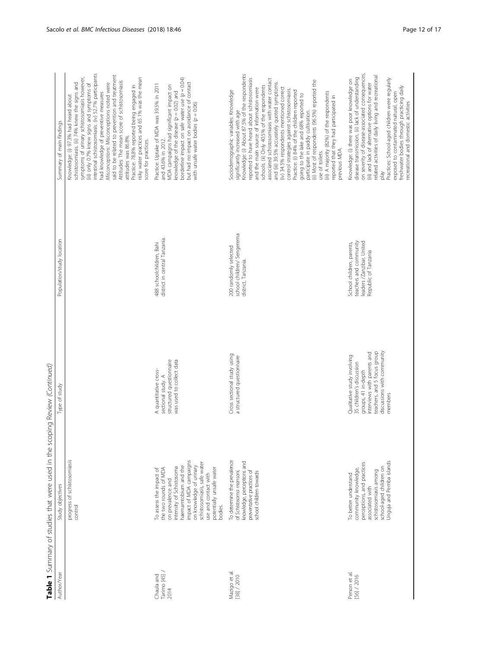|                                     | Table 1 Summary of studies that were used in the scoping Review (Continued)                                                                                                                                                                                                  |                                                                                                                                                                                       |                                                                                                          |                                                                                                                                                                                                                                                                                                                                                                                                                                                                                                                                                                                                                                                                                                                                                                         |
|-------------------------------------|------------------------------------------------------------------------------------------------------------------------------------------------------------------------------------------------------------------------------------------------------------------------------|---------------------------------------------------------------------------------------------------------------------------------------------------------------------------------------|----------------------------------------------------------------------------------------------------------|-------------------------------------------------------------------------------------------------------------------------------------------------------------------------------------------------------------------------------------------------------------------------------------------------------------------------------------------------------------------------------------------------------------------------------------------------------------------------------------------------------------------------------------------------------------------------------------------------------------------------------------------------------------------------------------------------------------------------------------------------------------------------|
| Author/Year                         | Study objectives                                                                                                                                                                                                                                                             | Type of study                                                                                                                                                                         | Population/study location                                                                                | Summary of main findings                                                                                                                                                                                                                                                                                                                                                                                                                                                                                                                                                                                                                                                                                                                                                |
|                                     | progress of schistosomiasis<br>control                                                                                                                                                                                                                                       |                                                                                                                                                                                       |                                                                                                          | intestinal schistosomiasis. (iv) 52.7% participants<br>said to be related to prevention and treatment<br>symptoms of urinary schistosomiasis however,<br>Practice: 78.8% reported being engaged in<br>risky water practices and 65.1% was the mean<br>Attitudes: The mean score of schistosomiasis<br>schistosomiasis. (ii) 74% knew the signs and<br>Misconceptions: Misconceptions noted were<br>(iii) only 0.7% knew signs and symptoms of<br>had knowledge of preventive measures<br>Knowledge: (i) 97.3% had heard about<br>attitudes was 86.8%.<br>score for practices.                                                                                                                                                                                           |
| Tarimo [45] /<br>Chaula and<br>2014 | impact of MDA campaigns<br>schistosomiasis, safe water<br>haemamtobium and the<br>on knowledge of urinary<br>intensity of Schistosoma<br>the two rounds of MDA<br>potentially unsafe water<br>o assess the impact of<br>use and contact with<br>on prevalence and<br>bodies. | was used to collect data<br>structured questionnaire<br>A quantitative cross-<br>sectional study. A                                                                                   | district in central Tanzania.<br>488 schoolchildren, Bahi                                                | borderline impact on safe water use $(p = 0.04)$<br>but had no impact on avoidance of contact<br>Practice: Uptake of MDA was 39.5% in 2011<br>MDA campaigns had significant impact on<br>knowledge of the disease $(p = 0.02)$ and<br>with unsafe water bodies $(p = 0.06)$<br>and 43.6% in 2012.                                                                                                                                                                                                                                                                                                                                                                                                                                                                       |
| Mazigo et al.<br>[38] / 2010        | To determine the prevalence<br>knowledge, perceptions and<br>preventative practices of<br>of Schistosoma mansoni,<br>school children towards                                                                                                                                 | Cross sectional study using<br>a structured questionnaire                                                                                                                             | school children/ Sengerema<br>200 randomly selected<br>district, Tanzania.                               | Knowledge: (i) About 87.5% of the respondents<br>reported to have heard about schistosomiasis<br>associated schistosomiasis with water contact<br>(ii) Most of respondents (96.5%) reported the<br>and (iii) 39.5% accurately quoted symptoms.<br>schools. (ii) Only 40.5% of the respondents<br>(iv) 34.5% respondents mentioned correct<br>and the main source of information were<br>control strategies against schistosomiasis.<br>Sociodemographic variables: Knowledge<br>Practice: (i) 84% of the children reported<br>(iii) A majority (82%) of the respondents<br>going to the lake and 68% reported to<br>reported that they had participated in<br>participate in paddy cultivation.<br>significantly increased with age<br>previous MDA.<br>use of toilets. |
| Person et al.<br>[56] / 2016        | Unguja and Pemba islands<br>perceptions, and practices<br>school-aged children on<br>community knowledge,<br>schistosomiasis among<br>To better understand<br>associated with                                                                                                | teachers, and 5 focus group<br>discussions with community<br>interviews with parents and<br>Qualitative study involving<br>35 children's discussion<br>groups, 41 in-depth<br>members | teachers and community<br>leaders /Zanzibar, United<br>School children, parents,<br>Republic of Tanzania | on severity of disease-associated consequences,<br>related activities of daily living and recreational<br>disease transmission, (ii) lack of understanding<br>Practices: School-aged children were regularly<br>Knowledge: (i) there was poor knowledge on<br>(iii) and lack of alternative options for water<br>freshwater bodies through practicing daily<br>exposed to contaminated natural, open<br>recreational and domestic activities<br>play                                                                                                                                                                                                                                                                                                                    |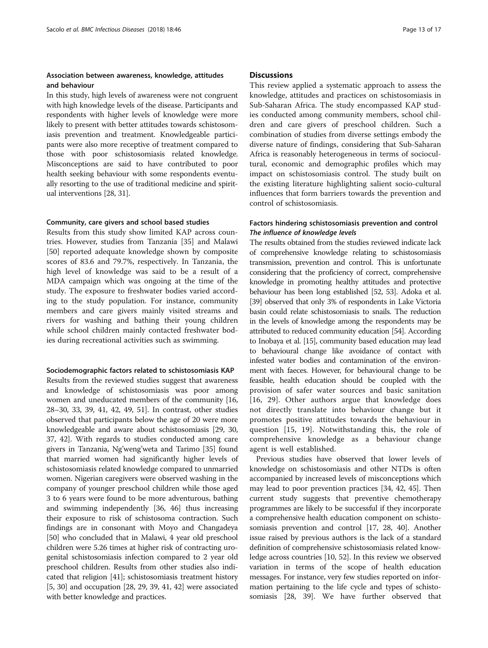# Association between awareness, knowledge, attitudes and behaviour

In this study, high levels of awareness were not congruent with high knowledge levels of the disease. Participants and respondents with higher levels of knowledge were more likely to present with better attitudes towards schistosomiasis prevention and treatment. Knowledgeable participants were also more receptive of treatment compared to those with poor schistosomiasis related knowledge. Misconceptions are said to have contributed to poor health seeking behaviour with some respondents eventually resorting to the use of traditional medicine and spiritual interventions [[28](#page-15-0), [31\]](#page-15-0).

## Community, care givers and school based studies

Results from this study show limited KAP across countries. However, studies from Tanzania [[35\]](#page-15-0) and Malawi [[50\]](#page-16-0) reported adequate knowledge shown by composite scores of 83.6 and 79.7%, respectively. In Tanzania, the high level of knowledge was said to be a result of a MDA campaign which was ongoing at the time of the study. The exposure to freshwater bodies varied according to the study population. For instance, community members and care givers mainly visited streams and rivers for washing and bathing their young children while school children mainly contacted freshwater bodies during recreational activities such as swimming.

## Sociodemographic factors related to schistosomiasis KAP

Results from the reviewed studies suggest that awareness and knowledge of schistosomiasis was poor among women and uneducated members of the community [[16](#page-15-0), [28](#page-15-0)–[30, 33, 39](#page-15-0), [41](#page-15-0), [42](#page-15-0), [49, 51\]](#page-16-0). In contrast, other studies observed that participants below the age of 20 were more knowledgeable and aware about schistosomiasis [[29](#page-15-0), [30](#page-15-0), [37](#page-15-0), [42\]](#page-15-0). With regards to studies conducted among care givers in Tanzania, Ng'weng'weta and Tarimo [[35](#page-15-0)] found that married women had significantly higher levels of schistosomiasis related knowledge compared to unmarried women. Nigerian caregivers were observed washing in the company of younger preschool children while those aged 3 to 6 years were found to be more adventurous, bathing and swimming independently [\[36](#page-15-0), [46\]](#page-16-0) thus increasing their exposure to risk of schistosoma contraction. Such findings are in consonant with Moyo and Changadeya [[50](#page-16-0)] who concluded that in Malawi, 4 year old preschool children were 5.26 times at higher risk of contracting urogenital schistosomiasis infection compared to 2 year old preschool children. Results from other studies also indicated that religion [\[41](#page-15-0)]; schistosomiasis treatment history [[5, 30](#page-15-0)] and occupation [\[28](#page-15-0), [29, 39, 41](#page-15-0), [42\]](#page-15-0) were associated with better knowledge and practices.

## **Discussions**

This review applied a systematic approach to assess the knowledge, attitudes and practices on schistosomiasis in Sub-Saharan Africa. The study encompassed KAP studies conducted among community members, school children and care givers of preschool children. Such a combination of studies from diverse settings embody the diverse nature of findings, considering that Sub-Saharan Africa is reasonably heterogeneous in terms of sociocultural, economic and demographic profiles which may impact on schistosomiasis control. The study built on the existing literature highlighting salient socio-cultural influences that form barriers towards the prevention and control of schistosomiasis.

# Factors hindering schistosomiasis prevention and control The influence of knowledge levels

The results obtained from the studies reviewed indicate lack of comprehensive knowledge relating to schistosomiasis transmission, prevention and control. This is unfortunate considering that the proficiency of correct, comprehensive knowledge in promoting healthy attitudes and protective behaviour has been long established [\[52, 53\]](#page-16-0). Adoka et al. [[39](#page-15-0)] observed that only 3% of respondents in Lake Victoria basin could relate schistosomiasis to snails. The reduction in the levels of knowledge among the respondents may be attributed to reduced community education [\[54](#page-16-0)]. According to Inobaya et al. [\[15\]](#page-15-0), community based education may lead to behavioural change like avoidance of contact with infested water bodies and contamination of the environment with faeces. However, for behavioural change to be feasible, health education should be coupled with the provision of safer water sources and basic sanitation [[16, 29\]](#page-15-0). Other authors argue that knowledge does not directly translate into behaviour change but it promotes positive attitudes towards the behaviour in question [[15, 19](#page-15-0)]. Notwithstanding this, the role of comprehensive knowledge as a behaviour change agent is well established.

Previous studies have observed that lower levels of knowledge on schistosomiasis and other NTDs is often accompanied by increased levels of misconceptions which may lead to poor prevention practices [\[34, 42](#page-15-0), [45](#page-16-0)]. Then current study suggests that preventive chemotherapy programmes are likely to be successful if they incorporate a comprehensive health education component on schistosomiasis prevention and control [\[17, 28](#page-15-0), [40](#page-15-0)]. Another issue raised by previous authors is the lack of a standard definition of comprehensive schistosomiasis related knowledge across countries [[10,](#page-15-0) [52](#page-16-0)]. In this review we observed variation in terms of the scope of health education messages. For instance, very few studies reported on information pertaining to the life cycle and types of schistosomiasis [[28](#page-15-0), [39\]](#page-15-0). We have further observed that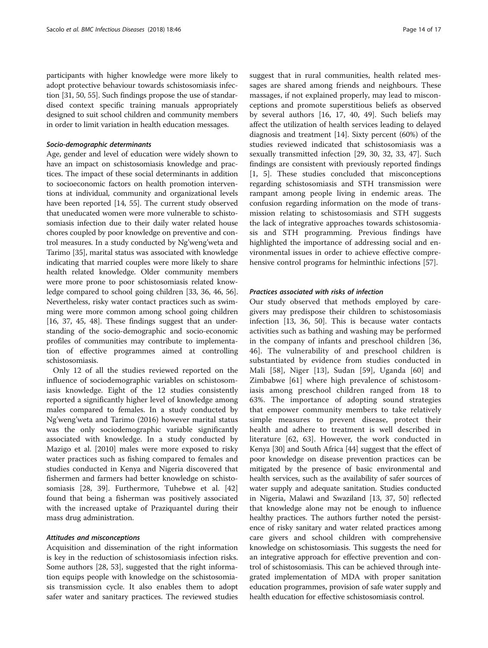participants with higher knowledge were more likely to adopt protective behaviour towards schistosomiasis infection [\[31,](#page-15-0) [50](#page-16-0), [55\]](#page-16-0). Such findings propose the use of standardised context specific training manuals appropriately designed to suit school children and community members in order to limit variation in health education messages.

## Socio-demographic determinants

Age, gender and level of education were widely shown to have an impact on schistosomiasis knowledge and practices. The impact of these social determinants in addition to socioeconomic factors on health promotion interventions at individual, community and organizational levels have been reported [\[14,](#page-15-0) [55](#page-16-0)]. The current study observed that uneducated women were more vulnerable to schistosomiasis infection due to their daily water related house chores coupled by poor knowledge on preventive and control measures. In a study conducted by Ng'weng'weta and Tarimo [[35](#page-15-0)], marital status was associated with knowledge indicating that married couples were more likely to share health related knowledge. Older community members were more prone to poor schistosomiasis related knowledge compared to school going children [\[33, 36,](#page-15-0) [46](#page-16-0), [56](#page-16-0)]. Nevertheless, risky water contact practices such as swimming were more common among school going children [[16](#page-15-0), [37,](#page-15-0) [45, 48](#page-16-0)]. These findings suggest that an understanding of the socio-demographic and socio-economic profiles of communities may contribute to implementation of effective programmes aimed at controlling schistosomiasis.

Only 12 of all the studies reviewed reported on the influence of sociodemographic variables on schistosomiasis knowledge. Eight of the 12 studies consistently reported a significantly higher level of knowledge among males compared to females. In a study conducted by Ng'weng'weta and Tarimo (2016) however marital status was the only sociodemographic variable significantly associated with knowledge. In a study conducted by Mazigo et al. [2010] males were more exposed to risky water practices such as fishing compared to females and studies conducted in Kenya and Nigeria discovered that fishermen and farmers had better knowledge on schistosomiasis [[28](#page-15-0), [39\]](#page-15-0). Furthermore, Tuhebwe et al. [[42](#page-15-0)] found that being a fisherman was positively associated with the increased uptake of Praziquantel during their mass drug administration.

## Attitudes and misconceptions

Acquisition and dissemination of the right information is key in the reduction of schistosomiasis infection risks. Some authors [[28,](#page-15-0) [53](#page-16-0)], suggested that the right information equips people with knowledge on the schistosomiasis transmission cycle. It also enables them to adopt safer water and sanitary practices. The reviewed studies suggest that in rural communities, health related messages are shared among friends and neighbours. These massages, if not explained properly, may lead to misconceptions and promote superstitious beliefs as observed by several authors [\[16](#page-15-0), [17](#page-15-0), [40,](#page-15-0) [49](#page-16-0)]. Such beliefs may affect the utilization of health services leading to delayed diagnosis and treatment [\[14\]](#page-15-0). Sixty percent (60%) of the studies reviewed indicated that schistosomiasis was a sexually transmitted infection [\[29](#page-15-0), [30](#page-15-0), [32](#page-15-0), [33](#page-15-0), [47](#page-16-0)]. Such findings are consistent with previously reported findings [[1,](#page-14-0) [5](#page-15-0)]. These studies concluded that misconceptions regarding schistosomiasis and STH transmission were rampant among people living in endemic areas. The confusion regarding information on the mode of transmission relating to schistosomiasis and STH suggests the lack of integrative approaches towards schistosomiasis and STH programming. Previous findings have highlighted the importance of addressing social and environmental issues in order to achieve effective comprehensive control programs for helminthic infections [[57](#page-16-0)].

## Practices associated with risks of infection

Our study observed that methods employed by caregivers may predispose their children to schistosomiasis infection [\[13](#page-15-0), [36](#page-15-0), [50\]](#page-16-0). This is because water contacts activities such as bathing and washing may be performed in the company of infants and preschool children [\[36](#page-15-0), [46\]](#page-16-0). The vulnerability of and preschool children is substantiated by evidence from studies conducted in Mali [[58\]](#page-16-0), Niger [\[13](#page-15-0)], Sudan [\[59](#page-16-0)], Uganda [\[60](#page-16-0)] and Zimbabwe [\[61](#page-16-0)] where high prevalence of schistosomiasis among preschool children ranged from 18 to 63%. The importance of adopting sound strategies that empower community members to take relatively simple measures to prevent disease, protect their health and adhere to treatment is well described in literature [[62, 63\]](#page-16-0). However, the work conducted in Kenya [\[30\]](#page-15-0) and South Africa [[44](#page-15-0)] suggest that the effect of poor knowledge on disease prevention practices can be mitigated by the presence of basic environmental and health services, such as the availability of safer sources of water supply and adequate sanitation. Studies conducted in Nigeria, Malawi and Swaziland [\[13, 37](#page-15-0), [50](#page-16-0)] reflected that knowledge alone may not be enough to influence healthy practices. The authors further noted the persistence of risky sanitary and water related practices among care givers and school children with comprehensive knowledge on schistosomiasis. This suggests the need for an integrative approach for effective prevention and control of schistosomiasis. This can be achieved through integrated implementation of MDA with proper sanitation education programmes, provision of safe water supply and health education for effective schistosomiasis control.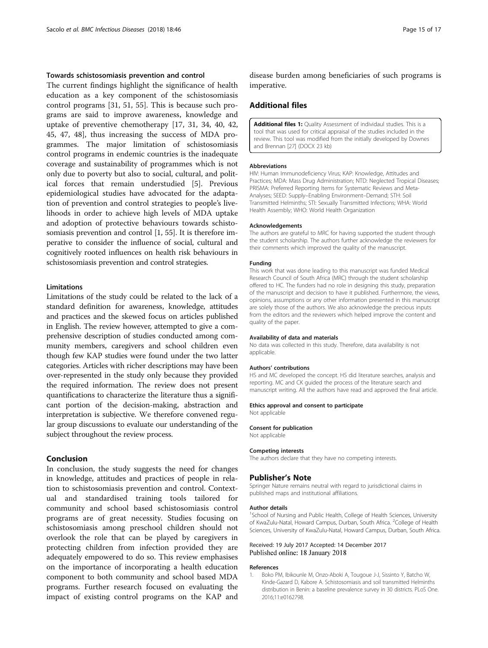## <span id="page-14-0"></span>Towards schistosomiasis prevention and control

The current findings highlight the significance of health education as a key component of the schistosomiasis control programs [[31,](#page-15-0) [51](#page-16-0), [55](#page-16-0)]. This is because such programs are said to improve awareness, knowledge and uptake of preventive chemotherapy [\[17](#page-15-0), [31](#page-15-0), [34, 40](#page-15-0), [42](#page-15-0), [45, 47](#page-16-0), [48](#page-16-0)], thus increasing the success of MDA programmes. The major limitation of schistosomiasis control programs in endemic countries is the inadequate coverage and sustainability of programmes which is not only due to poverty but also to social, cultural, and political forces that remain understudied [\[5](#page-15-0)]. Previous epidemiological studies have advocated for the adaptation of prevention and control strategies to people's livelihoods in order to achieve high levels of MDA uptake and adoption of protective behaviours towards schistosomiasis prevention and control [1, [55](#page-16-0)]. It is therefore imperative to consider the influence of social, cultural and cognitively rooted influences on health risk behaviours in schistosomiasis prevention and control strategies.

## Limitations

Limitations of the study could be related to the lack of a standard definition for awareness, knowledge, attitudes and practices and the skewed focus on articles published in English. The review however, attempted to give a comprehensive description of studies conducted among community members, caregivers and school children even though few KAP studies were found under the two latter categories. Articles with richer descriptions may have been over-represented in the study only because they provided the required information. The review does not present quantifications to characterize the literature thus a significant portion of the decision-making, abstraction and interpretation is subjective. We therefore convened regular group discussions to evaluate our understanding of the subject throughout the review process.

## Conclusion

In conclusion, the study suggests the need for changes in knowledge, attitudes and practices of people in relation to schistosomiasis prevention and control. Contextual and standardised training tools tailored for community and school based schistosomiasis control programs are of great necessity. Studies focusing on schistosomiasis among preschool children should not overlook the role that can be played by caregivers in protecting children from infection provided they are adequately empowered to do so. This review emphasises on the importance of incorporating a health education component to both community and school based MDA programs. Further research focused on evaluating the impact of existing control programs on the KAP and

disease burden among beneficiaries of such programs is imperative.

#### Additional files

[Additional files 1:](dx.doi.org/10.1186/s12879-017-2923-6) Quality Assessment of individaul studies. This is a tool that was used for critical appraisal of the studies included in the review. This tool was modified from the initially developed by Downes and Brennan [[27\]](#page-15-0) (DOCX 23 kb)

#### Abbreviations

HIV: Human Immunodeficiency Virus; KAP: Knowledge, Attitudes and Practices; MDA: Mass Drug Administration; NTD: Neglected Tropical Diseases; PRISMA: Preferred Reporting Items for Systematic Reviews and Meta-Analyses; SEED: Supply–Enabling Environment–Demand; STH: Soil Transmitted Helminths; STI: Sexually Transmitted Infections; WHA: World Health Assembly; WHO: World Health Organization

#### Acknowledgements

The authors are grateful to MRC for having supported the student through the student scholarship. The authors further acknowledge the reviewers for their comments which improved the quality of the manuscript.

#### Funding

This work that was done leading to this manuscript was funded Medical Research Council of South Africa (MRC) through the student scholarship offered to HC. The funders had no role in designing this study, preparation of the manuscript and decision to have it published. Furthermore, the views, opinions, assumptions or any other information presented in this manuscript are solely those of the authors. We also acknowledge the precious inputs from the editors and the reviewers which helped improve the content and quality of the paper.

#### Availability of data and materials

No data was collected in this study. Therefore, data availability is not applicable.

#### Authors' contributions

HS and MC developed the concept. HS did literature searches, analysis and reporting. MC and CK guided the process of the literature search and manuscript writing. All the authors have read and approved the final article.

#### Ethics approval and consent to participate

Not applicable

# Consent for publication

Not applicable

### Competing interests

The authors declare that they have no competing interests.

## Publisher's Note

Springer Nature remains neutral with regard to jurisdictional claims in published maps and institutional affiliations.

#### Author details

<sup>1</sup>School of Nursing and Public Health, College of Health Sciences, University of KwaZulu-Natal, Howard Campus, Durban, South Africa. <sup>2</sup>College of Health Sciences, University of KwaZulu-Natal, Howard Campus, Durban, South Africa.

## Received: 19 July 2017 Accepted: 14 December 2017 Published online: 18 January 2018

## References

1. Boko PM, Ibikounle M, Onzo-Aboki A, Tougoue J-J, Sissinto Y, Batcho W, Kinde-Gazard D, Kabore A. Schistosomiasis and soil transmitted Helminths distribution in Benin: a baseline prevalence survey in 30 districts. PLoS One. 2016;11:e0162798.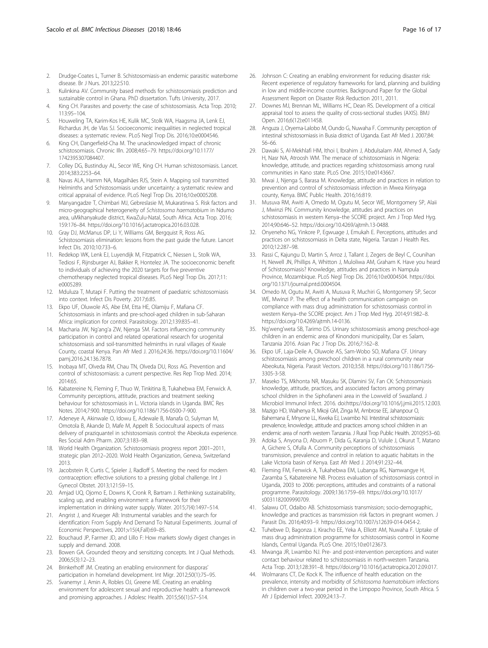- <span id="page-15-0"></span>2. Drudge-Coates L, Turner B. Schistosomiasis-an endemic parasitic waterborne disease. Br J Nurs. 2013;22:S10.
- 3. Kulinkina AV. Community based methods for schistosomiasis prediction and sustainable control in Ghana. PhD dissertation. Tufts University, 2017.
- 4. King CH. Parasites and poverty: the case of schistosomiasis. Acta Trop. 2010; 113:95–104.
- 5. Houweling TA, Karim-Kos HE, Kulik MC, Stolk WA, Haagsma JA, Lenk EJ, Richardus JH, de Vlas SJ. Socioeconomic inequalities in neglected tropical diseases: a systematic review. PLoS Negl Trop Dis. 2016;10:e0004546.
- 6. King CH, Dangerfield-Cha M. The unacknowledged impact of chronic schistosomiasis. Chronic Illn. 2008;4:65–79. https://doi.org/10.1177/ 1742395307084407.
- 7. Colley DG, Bustinduy AL, Secor WE, King CH. Human schistosomiasis. Lancet. 2014;383:2253–64.
- 8. Navas ALA, Hamm NA, Magalhães RJS, Stein A. Mapping soil transmitted Helminths and Schistosomiasis under uncertainty: a systematic review and critical appraisal of evidence. PLoS Negl Trop Dis. 2016;10:e0005208.
- Manyangadze T, Chimbari MJ, Gebreslasie M, Mukaratirwa S. Risk factors and micro-geographical heterogeneity of Schistosoma haematobium in Ndumo area, uMkhanyakude district, KwaZulu-Natal, South Africa. Acta Trop. 2016; 159:176–84. https://doi.org/10.1016/j.actatropica.2016.03.028.
- 10. Gray DJ, McManus DP, Li Y, Williams GM, Bergquist R, Ross AG. Schistosomiasis elimination: lessons from the past guide the future. Lancet Infect Dis. 2010;10:733–6.
- 11. Redekop WK, Lenk EJ, Luyendijk M, Fitzpatrick C, Niessen L, Stolk WA, Tediosi F, Rijnsburger AJ, Bakker R, Hontelez JA. The socioeconomic benefit to individuals of achieving the 2020 targets for five preventive chemotherapy neglected tropical diseases. PLoS Negl Trop Dis. 2017;11: e0005289.
- 12. Mduluza T, Mutapi F. Putting the treatment of paediatric schistosomiasis into context. Infect Dis Poverty. 2017;6:85.
- 13. Ekpo UF, Oluwole AS, Abe EM, Etta HE, Olamiju F, Mafiana CF. Schistosomiasis in infants and pre-school-aged children in sub-Saharan Africa: implication for control. Parasitology. 2012;139:835–41.
- 14. Macharia JW, Ng'ang'a ZW, Njenga SM. Factors influencing community participation in control and related operational research for urogenital schistosomiasis and soil-transmitted helminths in rural villages of Kwale County, coastal Kenya. Pan Afr Med J. 2016;24:36. https://doi.org/10.11604/ pamj.2016.24.136.7878.
- 15. Inobaya MT, Olveda RM, Chau TN, Olveda DU, Ross AG. Prevention and control of schistosomiasis: a current perspective. Res Rep Trop Med. 2014; 2014:65.
- 16. Kabatereine N, Fleming F, Thuo W, Tinkitina B, Tukahebwa EM, Fenwick A. Community perceptions, attitude, practices and treatment seeking behaviour for schistosomiasis in L. Victoria islands in Uganda. BMC Res Notes. 2014;7:900. https://doi.org/10.1186/1756-0500-7-900.
- 17. Adeneye A, Akinwale O, Idowu E, Adewale B, Manafa O, Sulyman M, Omotola B, Akande D, Mafe M, Appelt B. Sociocultural aspects of mass delivery of praziquantel in schistosomiasis control: the Abeokuta experience. Res Social Adm Pharm. 2007;3:183–98.
- 18. World Health Organization. Schistosomiasis progress report 2001–2011, strategic plan 2012–2020. Wold Health Organization, Geneva, Switzerland 2013.
- 19. Jacobstein R, Curtis C, Spieler J, Radloff S. Meeting the need for modern contraception: effective solutions to a pressing global challenge. Int J Gynecol Obstet. 2013;121:S9–15.
- 20. Amjad UQ, Ojomo E, Downs K, Cronk R, Bartram J. Rethinking sustainability, scaling up, and enabling environment: a framework for their implementation in drinking water supply. Water. 2015;7(4):1497–514.
- 21. Angrist J, and Krueger AB: Instrumental variables and the search for identification: From Supply And Demand To Natural Experiments. Journal of Economic Perspectives, 2001;v15(4,Fall):69–85.
- 22. Bouchaud JP, Farmer JD, and Lillo F: How markets slowly digest changes in supply and demand. 2008.
- 23. Bowen GA. Grounded theory and sensitizing concepts. Int J Qual Methods. 2006;5(3):12–23.
- 24. Brinkerhoff JM. Creating an enabling environment for diasporas' participation in homeland development. Int Migr. 2012;50(1):75–95.
- 25. Svanemyr J, Amin A, Robles OJ, Greene ME. Creating an enabling environment for adolescent sexual and reproductive health: a framework and promising approaches. J Adolesc Health. 2015;56(1):S7–S14.
- 26. Johnson C: Creating an enabling environment for reducing disaster risk: Recent experience of regulatory frameworks for land, planning and building in low and middle-income countries. Background Paper for the Global Assessment Report on Disaster Risk Reduction 2011, 2011.
- 27. Downes MJ, Brennan ML, Williams HC, Dean RS. Development of a critical appraisal tool to assess the quality of cross-sectional studies (AXIS). BMJ Open. 2016;6(12):e011458.
- 28. Anguza J, Oryema-Lalobo M, Oundo G, Nuwaha F. Community perception of intestinal schistosomiasis in Busia district of Uganda. East Afr Med J. 2007;84: 56–66.
- 29. Dawaki S, Al-Mekhlafi HM, Ithoi I, Ibrahim J, Abdulsalam AM, Ahmed A, Sady H, Nasr NA, Atroosh WM. The menace of schistosomiasis in Nigeria: knowledge, attitude, and practices regarding schistosomiasis among rural communities in Kano state. PLoS One. 2015;10:e0143667.
- 30. Mwai J, Njenga S, Barasa M. Knowledge, attitude and practices in relation to prevention and control of schistosomiasis infection in Mwea Kirinyaga county, Kenya. BMC Public Health. 2016;16:819.
- 31. Musuva RM, Awiti A, Omedo M, Ogutu M, Secor WE, Montgomery SP, Alaii J, Mwinzi PN. Community knowledge, attitudes and practices on schistosomiasis in western Kenya–the SCORE project. Am J Trop Med Hyg. 2014;90:646–52. https://doi.org/10.4269/ajtmh.13-0488.
- 32. Onyeneho NG, Yinkore P, Egwuage J, Emukah E. Perceptions, attitudes and practices on schistosomiasis in Delta state, Nigeria. Tanzan J Health Res. 2010;12:287–98.
- 33. Rassi C, Kajungu D, Martin S, Arroz J, Tallant J, Zegers de Beyl C, Counihan H, Newell JN, Phillips A, Whitton J, Muloliwa AM, Graham K. Have you heard of Schistosomiasis? Knowledge, attitudes and practices in Nampula Province, Mozambique. PLoS Negl Trop Dis. 2016;10:e0004504. https://doi. org/10.1371/journal.pntd.0004504.
- 34. Omedo M, Ogutu M, Awiti A, Musuva R, Muchiri G, Montgomery SP, Secor WE, Mwinzi P. The effect of a health communication campaign on compliance with mass drug administration for schistosomiasis control in western Kenya–the SCORE project. Am J Trop Med Hyg. 2014;91:982–8. https://doi.org/10.4269/ajtmh.14-0136.
- 35. Ng'weng'weta SB, Tarimo DS. Urinary schistosomiasis among preschool-age children in an endemic area of Kinondoni municipality, Dar es Salam, Tanzania 2016. Asian Pac J Trop Dis. 2016;7:162–8.
- 36. Ekpo UF, Laja-Deile A, Oluwole AS, Sam-Wobo SO, Mafiana CF. Urinary schistosomiasis among preschool children in a rural community near Abeokuta, Nigeria. Parasit Vectors. 2010;3:58. https://doi.org/10.1186/1756- 3305-3-58.
- 37. Maseko TS, Mkhonta NR, Masuku SK, Dlamini SV, Fan CK: Schistosomiasis knowledge, attitude, practices, and associated factors among primary school children in the Siphofaneni area in the Lowveld of Swaziland. J Microbiol Immunol Infect. 2016. doi:https://doi.org/10.1016/j.jmii.2015.12.003.
- 38. Mazigo HD, Waihenya R, Mkoji GM, Zinga M, Ambrose EE, Jahanpour O, Bahemana E, Mnyone LL, Kweka EJ, Lwambo NJ. Intestinal schistosomiasis: prevalence, knowledge, attitude and practices among school children in an endemic area of north western Tanzania. J Rural Trop Public Health. 2010;9:53-60.
- 39. Adoka S, Anyona D, Abuom P, Dida G, Karanja D, Vulule J, Okurut T, Matano A, Gichere S, Ofulla A. Community perceptions of schistosomiasis transmission, prevalence and control in relation to aquatic habitats in the Lake Victoria basin of Kenya. East Afr Med J. 2014;91:232–44.
- 40. Fleming FM, Fenwick A, Tukahebwa EM, Lubanga RG, Namwangye H, Zaramba S, Kabatereine NB. Process evaluation of schistosomiasis control in Uganda, 2003 to 2006: perceptions, attitudes and constraints of a national programme. Parasitology. 2009;136:1759–69. https://doi.org/10.1017/ s0031182009990709.
- 41. Salawu OT, Odaibo AB. Schistosomiasis transmission; socio-demographic, knowledge and practices as transmission risk factors in pregnant women. J Parasit Dis. 2016;40:93–9. https://doi.org/10.1007/s12639-014-0454-2.
- 42. Tuhebwe D, Bagonza J, Kiracho EE, Yeka A, Elliott AM, Nuwaha F. Uptake of mass drug administration programme for schistosomiasis control in Koome Islands, Central Uganda. PLoS One. 2015;10:e0123673.
- 43. Mwanga JR, Lwambo NJ. Pre- and post-intervention perceptions and water contact behaviour related to schistosomiasis in north-western Tanzania. Acta Trop. 2013;128:391–8. https://doi.org/10.1016/j.actatropica.2012.09.017.
- 44. Wolmarans CT, De Kock K. The influence of health education on the prevalence, intensity and morbidity of Schistosoma haematobium infections in children over a two-year period in the Limpopo Province, South Africa. S Afr J Epidemiol Infect. 2009;24:13–7.